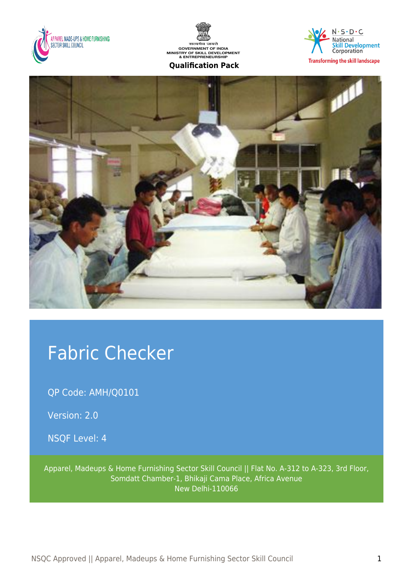





**Transforming the skill landscape** 



# Fabric Checker

QP Code: AMH/Q0101

Version: 2.0

NSQF Level: 4

Apparel, Madeups & Home Furnishing Sector Skill Council || Flat No. A-312 to A-323, 3rd Floor, Somdatt Chamber-1, Bhikaji Cama Place, Africa Avenue New Delhi-110066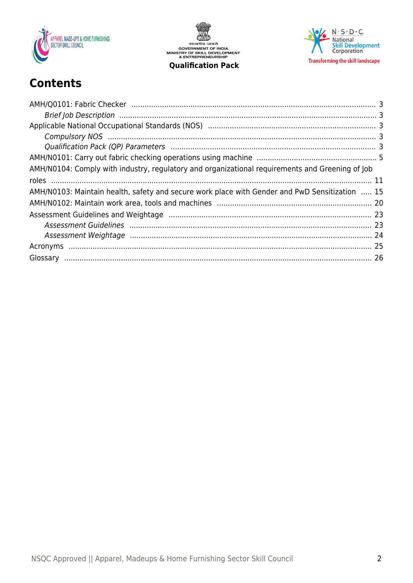

सत्यमेव जयते<br>GOVERNMENT OF INDIA<br>MINISTRY OF SKILL DEVELOPMENT<br>& ENTREPRENEURSHIP **Qualification Pack** 



# **Contents**

| AMH/N0104: Comply with industry, regulatory and organizational requirements and Greening of Job |  |
|-------------------------------------------------------------------------------------------------|--|
|                                                                                                 |  |
| AMH/N0103: Maintain health, safety and secure work place with Gender and PwD Sensitization  15  |  |
|                                                                                                 |  |
|                                                                                                 |  |
|                                                                                                 |  |
|                                                                                                 |  |
|                                                                                                 |  |
|                                                                                                 |  |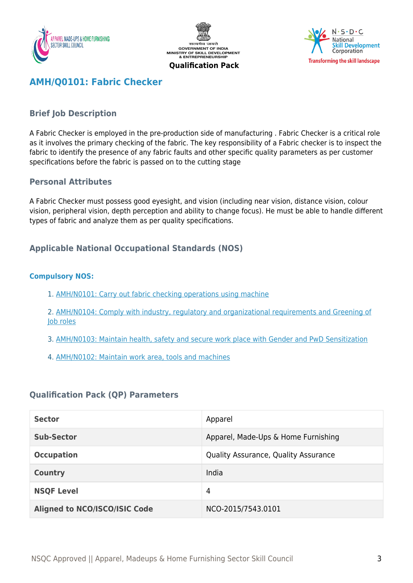





# <span id="page-2-0"></span>**AMH/Q0101: Fabric Checker**

## <span id="page-2-1"></span>**Brief Job Description**

A Fabric Checker is employed in the pre-production side of manufacturing . Fabric Checker is a critical role as it involves the primary checking of the fabric. The key responsibility of a Fabric checker is to inspect the fabric to identify the presence of any fabric faults and other specific quality parameters as per customer specifications before the fabric is passed on to the cutting stage

#### **Personal Attributes**

A Fabric Checker must possess good eyesight, and vision (including near vision, distance vision, colour vision, peripheral vision, depth perception and ability to change focus). He must be able to handle different types of fabric and analyze them as per quality specifications.

#### <span id="page-2-2"></span>**Applicable National Occupational Standards (NOS)**

#### <span id="page-2-3"></span>**Compulsory NOS:**

- 1. [AMH/N0101: Carry out fabric checking operations using machine](#page--1-0)
- 2. [AMH/N0104: Comply with industry, regulatory and organizational requirements and Greening of](#page--1-0) [Job roles](#page--1-0)
- 3. [AMH/N0103: Maintain health, safety and secure work place with Gender and PwD Sensitization](#page--1-0)
- 4. [AMH/N0102: Maintain work area, tools and machines](#page--1-0)

#### <span id="page-2-4"></span>**Qualification Pack (QP) Parameters**

| <b>Sector</b>                        | Apparel                              |
|--------------------------------------|--------------------------------------|
| <b>Sub-Sector</b>                    | Apparel, Made-Ups & Home Furnishing  |
| <b>Occupation</b>                    | Quality Assurance, Quality Assurance |
| <b>Country</b>                       | India                                |
| <b>NSQF Level</b>                    | 4                                    |
| <b>Aligned to NCO/ISCO/ISIC Code</b> | NCO-2015/7543.0101                   |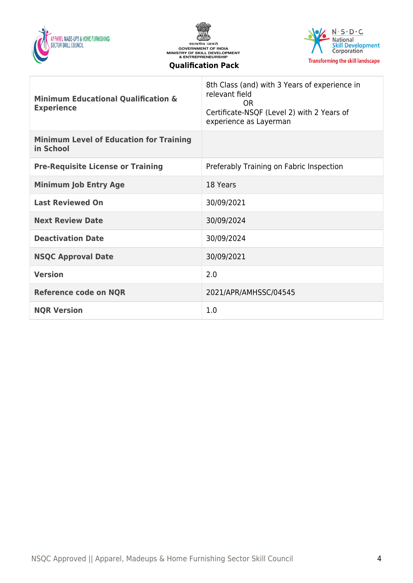





| <b>Minimum Educational Qualification &amp;</b><br><b>Experience</b> | 8th Class (and) with 3 Years of experience in<br>relevant field<br>OR.<br>Certificate-NSQF (Level 2) with 2 Years of<br>experience as Layerman |
|---------------------------------------------------------------------|------------------------------------------------------------------------------------------------------------------------------------------------|
| <b>Minimum Level of Education for Training</b><br>in School         |                                                                                                                                                |
| <b>Pre-Requisite License or Training</b>                            | Preferably Training on Fabric Inspection                                                                                                       |
| <b>Minimum Job Entry Age</b>                                        | 18 Years                                                                                                                                       |
| <b>Last Reviewed On</b>                                             | 30/09/2021                                                                                                                                     |
| <b>Next Review Date</b>                                             | 30/09/2024                                                                                                                                     |
| <b>Deactivation Date</b>                                            | 30/09/2024                                                                                                                                     |
| <b>NSQC Approval Date</b>                                           | 30/09/2021                                                                                                                                     |
| <b>Version</b>                                                      | 2.0                                                                                                                                            |
| <b>Reference code on NQR</b>                                        | 2021/APR/AMHSSC/04545                                                                                                                          |
| <b>NQR Version</b>                                                  | 1.0                                                                                                                                            |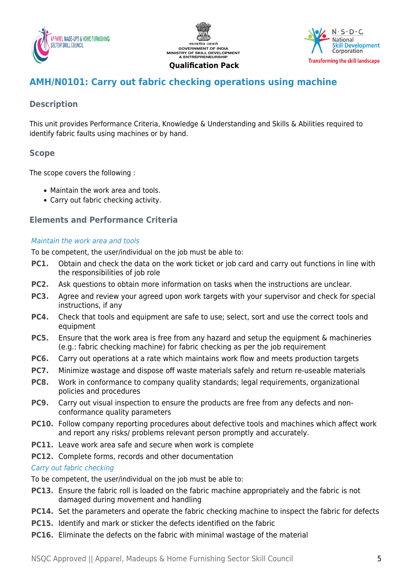





# <span id="page-4-0"></span>**AMH/N0101: Carry out fabric checking operations using machine**

# **Description**

This unit provides Performance Criteria, Knowledge & Understanding and Skills & Abilities required to identify fabric faults using machines or by hand.

# **Scope**

The scope covers the following :

- Maintain the work area and tools.
- Carry out fabric checking activity.

## **Elements and Performance Criteria**

#### Maintain the work area and tools

To be competent, the user/individual on the job must be able to:

- **PC1.** Obtain and check the data on the work ticket or job card and carry out functions in line with the responsibilities of job role
- **PC2.** Ask questions to obtain more information on tasks when the instructions are unclear.
- **PC3.** Agree and review your agreed upon work targets with your supervisor and check for special instructions, if any
- **PC4.** Check that tools and equipment are safe to use; select, sort and use the correct tools and equipment
- **PC5.** Ensure that the work area is free from any hazard and setup the equipment & machineries (e.g.: fabric checking machine) for fabric checking as per the job requirement
- **PC6.** Carry out operations at a rate which maintains work flow and meets production targets
- **PC7.** Minimize wastage and dispose off waste materials safely and return re-useable materials
- **PC8.** Work in conformance to company quality standards; legal requirements, organizational policies and procedures
- **PC9.** Carry out visual inspection to ensure the products are free from any defects and nonconformance quality parameters
- **PC10.** Follow company reporting procedures about defective tools and machines which affect work and report any risks/ problems relevant person promptly and accurately.
- **PC11.** Leave work area safe and secure when work is complete
- **PC12.** Complete forms, records and other documentation

#### Carry out fabric checking

To be competent, the user/individual on the job must be able to:

- **PC13.** Ensure the fabric roll is loaded on the fabric machine appropriately and the fabric is not damaged during movement and handling
- **PC14.** Set the parameters and operate the fabric checking machine to inspect the fabric for defects
- **PC15.** Identify and mark or sticker the defects identified on the fabric
- **PC16.** Eliminate the defects on the fabric with minimal wastage of the material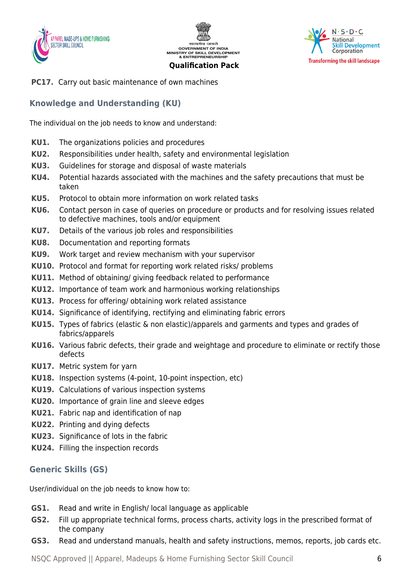





**PC17.** Carry out basic maintenance of own machines

# **Knowledge and Understanding (KU)**

The individual on the job needs to know and understand:

- **KU1.** The organizations policies and procedures
- **KU2.** Responsibilities under health, safety and environmental legislation
- **KU3.** Guidelines for storage and disposal of waste materials
- **KU4.** Potential hazards associated with the machines and the safety precautions that must be taken
- **KU5.** Protocol to obtain more information on work related tasks
- **KU6.** Contact person in case of queries on procedure or products and for resolving issues related to defective machines, tools and/or equipment
- **KU7.** Details of the various job roles and responsibilities
- **KU8.** Documentation and reporting formats
- **KU9.** Work target and review mechanism with your supervisor
- **KU10.** Protocol and format for reporting work related risks/ problems
- **KU11.** Method of obtaining/ giving feedback related to performance
- **KU12.** Importance of team work and harmonious working relationships
- **KU13.** Process for offering/ obtaining work related assistance
- **KU14.** Significance of identifying, rectifying and eliminating fabric errors
- **KU15.** Types of fabrics (elastic & non elastic)/apparels and garments and types and grades of fabrics/apparels
- **KU16.** Various fabric defects, their grade and weightage and procedure to eliminate or rectify those defects
- **KU17.** Metric system for yarn
- **KU18.** Inspection systems (4-point, 10-point inspection, etc)
- **KU19.** Calculations of various inspection systems
- **KU20.** Importance of grain line and sleeve edges
- **KU21.** Fabric nap and identification of nap
- **KU22.** Printing and dying defects
- **KU23.** Significance of lots in the fabric
- **KU24.** Filling the inspection records

## **Generic Skills (GS)**

User/individual on the job needs to know how to:

- **GS1.** Read and write in English/ local language as applicable
- **GS2.** Fill up appropriate technical forms, process charts, activity logs in the prescribed format of the company
- **GS3.** Read and understand manuals, health and safety instructions, memos, reports, job cards etc.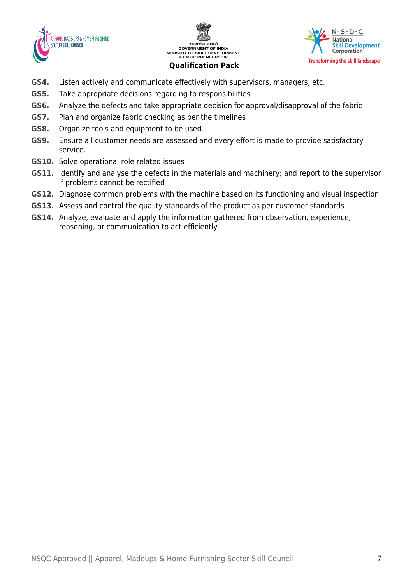





- **GS4.** Listen actively and communicate effectively with supervisors, managers, etc.
- **GS5.** Take appropriate decisions regarding to responsibilities
- **GS6.** Analyze the defects and take appropriate decision for approval/disapproval of the fabric
- **GS7.** Plan and organize fabric checking as per the timelines
- **GS8.** Organize tools and equipment to be used
- **GS9.** Ensure all customer needs are assessed and every effort is made to provide satisfactory service.
- **GS10.** Solve operational role related issues
- **GS11.** Identify and analyse the defects in the materials and machinery; and report to the supervisor if problems cannot be rectified
- **GS12.** Diagnose common problems with the machine based on its functioning and visual inspection
- **GS13.** Assess and control the quality standards of the product as per customer standards
- **GS14.** Analyze, evaluate and apply the information gathered from observation, experience, reasoning, or communication to act efficiently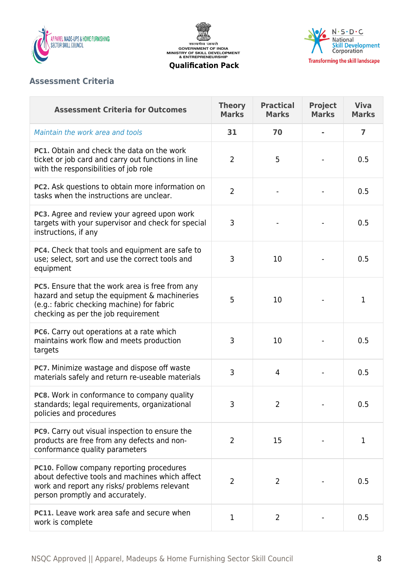

सत्यमेव जयते<br>GOVERNMENT OF INDIA<br>MINISTRY OF SKILL DEVELOPMENT<br>& ENTREPRENEURSHIP **Qualification Pack**



# **Assessment Criteria**

| <b>Assessment Criteria for Outcomes</b>                                                                                                                                              | <b>Theory</b><br><b>Marks</b> | <b>Practical</b><br><b>Marks</b> | <b>Project</b><br><b>Marks</b> | <b>Viva</b><br><b>Marks</b> |
|--------------------------------------------------------------------------------------------------------------------------------------------------------------------------------------|-------------------------------|----------------------------------|--------------------------------|-----------------------------|
| Maintain the work area and tools                                                                                                                                                     | 31                            | 70                               |                                | $\overline{7}$              |
| <b>PC1.</b> Obtain and check the data on the work<br>ticket or job card and carry out functions in line<br>with the responsibilities of job role                                     | $\overline{2}$                | 5                                |                                | 0.5                         |
| PC2. Ask questions to obtain more information on<br>tasks when the instructions are unclear.                                                                                         | $\overline{2}$                |                                  |                                | 0.5                         |
| PC3. Agree and review your agreed upon work<br>targets with your supervisor and check for special<br>instructions, if any                                                            | 3                             |                                  |                                | 0.5                         |
| PC4. Check that tools and equipment are safe to<br>use; select, sort and use the correct tools and<br>equipment                                                                      | 3                             | 10                               |                                | 0.5                         |
| PC5. Ensure that the work area is free from any<br>hazard and setup the equipment & machineries<br>(e.g.: fabric checking machine) for fabric<br>checking as per the job requirement | 5                             | 10                               |                                | 1                           |
| PC6. Carry out operations at a rate which<br>maintains work flow and meets production<br>targets                                                                                     | 3                             | 10                               |                                | 0.5                         |
| PC7. Minimize wastage and dispose off waste<br>materials safely and return re-useable materials                                                                                      | 3                             | $\overline{4}$                   |                                | 0.5                         |
| PC8. Work in conformance to company quality<br>standards; legal requirements, organizational<br>policies and procedures                                                              | 3                             | 2                                |                                | 0.5                         |
| PC9. Carry out visual inspection to ensure the<br>products are free from any defects and non-<br>conformance quality parameters                                                      | $\overline{2}$                | 15                               |                                | $\mathbf{1}$                |
| PC10. Follow company reporting procedures<br>about defective tools and machines which affect<br>work and report any risks/ problems relevant<br>person promptly and accurately.      | $\overline{2}$                | $\overline{2}$                   |                                | 0.5                         |
| PC11. Leave work area safe and secure when<br>work is complete                                                                                                                       | 1                             | $\overline{2}$                   |                                | 0.5                         |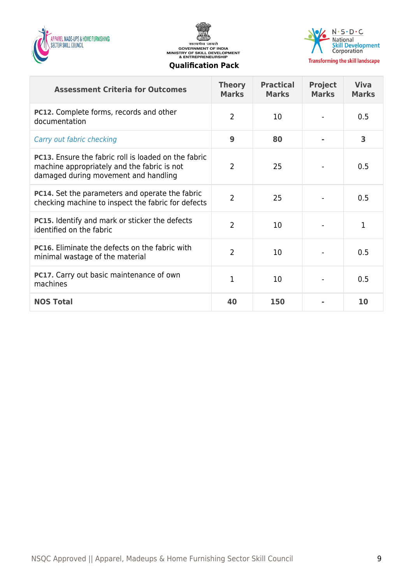





#### **Transforming the skill landscape**

| <b>Assessment Criteria for Outcomes</b>                                                                                                            | <b>Theory</b><br><b>Marks</b> | <b>Practical</b><br><b>Marks</b> | <b>Project</b><br><b>Marks</b> | <b>Viva</b><br><b>Marks</b> |
|----------------------------------------------------------------------------------------------------------------------------------------------------|-------------------------------|----------------------------------|--------------------------------|-----------------------------|
| PC12. Complete forms, records and other<br>documentation                                                                                           | $\overline{2}$                | 10                               |                                | 0.5                         |
| Carry out fabric checking                                                                                                                          | 9                             | 80                               |                                | 3                           |
| <b>PC13.</b> Ensure the fabric roll is loaded on the fabric<br>machine appropriately and the fabric is not<br>damaged during movement and handling | $\overline{2}$                | 25                               |                                | 0.5                         |
| <b>PC14.</b> Set the parameters and operate the fabric<br>checking machine to inspect the fabric for defects                                       | $\overline{2}$                | 25                               |                                | 0.5                         |
| <b>PC15.</b> Identify and mark or sticker the defects<br>identified on the fabric                                                                  | $\overline{2}$                | 10                               |                                | 1                           |
| <b>PC16.</b> Eliminate the defects on the fabric with<br>minimal wastage of the material                                                           | $\overline{2}$                | 10                               |                                | 0.5                         |
| <b>PC17.</b> Carry out basic maintenance of own<br>machines                                                                                        | 1                             | 10                               |                                | 0.5                         |
| <b>NOS Total</b>                                                                                                                                   | 40                            | 150                              |                                | 10                          |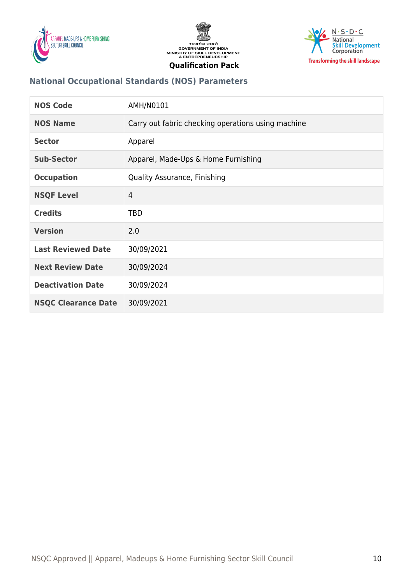





# **National Occupational Standards (NOS) Parameters**

| <b>NOS Code</b>            | AMH/N0101                                          |
|----------------------------|----------------------------------------------------|
| <b>NOS Name</b>            | Carry out fabric checking operations using machine |
| <b>Sector</b>              | Apparel                                            |
| <b>Sub-Sector</b>          | Apparel, Made-Ups & Home Furnishing                |
| <b>Occupation</b>          | <b>Quality Assurance, Finishing</b>                |
| <b>NSQF Level</b>          | $\overline{4}$                                     |
| <b>Credits</b>             | <b>TBD</b>                                         |
| <b>Version</b>             | 2.0                                                |
| <b>Last Reviewed Date</b>  | 30/09/2021                                         |
| <b>Next Review Date</b>    | 30/09/2024                                         |
| <b>Deactivation Date</b>   | 30/09/2024                                         |
| <b>NSQC Clearance Date</b> | 30/09/2021                                         |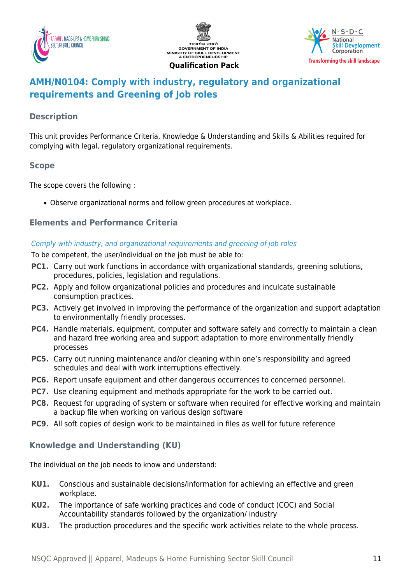





# <span id="page-10-0"></span>**AMH/N0104: Comply with industry, regulatory and organizational requirements and Greening of Job roles**

## **Description**

This unit provides Performance Criteria, Knowledge & Understanding and Skills & Abilities required for complying with legal, regulatory organizational requirements.

# **Scope**

The scope covers the following :

Observe organizational norms and follow green procedures at workplace.

# **Elements and Performance Criteria**

#### Comply with industry, and organizational requirements and greening of job roles

To be competent, the user/individual on the job must be able to:

- **PC1.** Carry out work functions in accordance with organizational standards, greening solutions, procedures, policies, legislation and regulations.
- **PC2.** Apply and follow organizational policies and procedures and inculcate sustainable consumption practices.
- **PC3.** Actively get involved in improving the performance of the organization and support adaptation to environmentally friendly processes.
- **PC4.** Handle materials, equipment, computer and software safely and correctly to maintain a clean and hazard free working area and support adaptation to more environmentally friendly processes
- **PC5.** Carry out running maintenance and/or cleaning within one's responsibility and agreed schedules and deal with work interruptions effectively.
- **PC6.** Report unsafe equipment and other dangerous occurrences to concerned personnel.
- **PC7.** Use cleaning equipment and methods appropriate for the work to be carried out.
- **PC8.** Request for upgrading of system or software when required for effective working and maintain a backup file when working on various design software
- **PC9.** All soft copies of design work to be maintained in files as well for future reference

# **Knowledge and Understanding (KU)**

The individual on the job needs to know and understand:

- **KU1.** Conscious and sustainable decisions/information for achieving an effective and green workplace.
- **KU2.** The importance of safe working practices and code of conduct (COC) and Social Accountability standards followed by the organization/ industry
- **KU3.** The production procedures and the specific work activities relate to the whole process.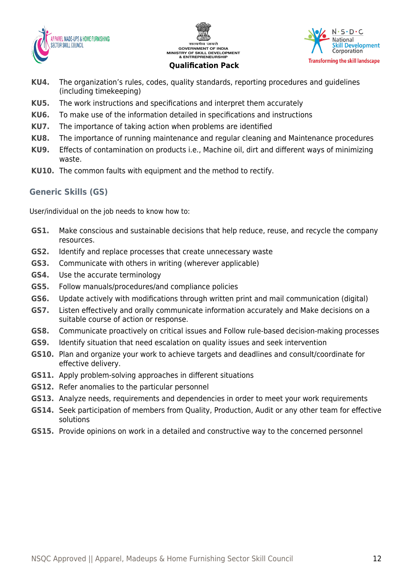





- **KU4.** The organization's rules, codes, quality standards, reporting procedures and guidelines (including timekeeping)
- **KU5.** The work instructions and specifications and interpret them accurately
- **KU6.** To make use of the information detailed in specifications and instructions
- **KU7.** The importance of taking action when problems are identified
- **KU8.** The importance of running maintenance and regular cleaning and Maintenance procedures
- **KU9.** Effects of contamination on products i.e., Machine oil, dirt and different ways of minimizing waste.
- **KU10.** The common faults with equipment and the method to rectify.

# **Generic Skills (GS)**

User/individual on the job needs to know how to:

- **GS1.** Make conscious and sustainable decisions that help reduce, reuse, and recycle the company resources.
- **GS2.** Identify and replace processes that create unnecessary waste
- **GS3.** Communicate with others in writing (wherever applicable)
- **GS4.** Use the accurate terminology
- **GS5.** Follow manuals/procedures/and compliance policies
- **GS6.** Update actively with modifications through written print and mail communication (digital)
- **GS7.** Listen effectively and orally communicate information accurately and Make decisions on a suitable course of action or response.
- **GS8.** Communicate proactively on critical issues and Follow rule-based decision-making processes
- **GS9.** Identify situation that need escalation on quality issues and seek intervention
- **GS10.** Plan and organize your work to achieve targets and deadlines and consult/coordinate for effective delivery.
- **GS11.** Apply problem-solving approaches in different situations
- **GS12.** Refer anomalies to the particular personnel
- **GS13.** Analyze needs, requirements and dependencies in order to meet your work requirements
- **GS14.** Seek participation of members from Quality, Production, Audit or any other team for effective solutions
- **GS15.** Provide opinions on work in a detailed and constructive way to the concerned personnel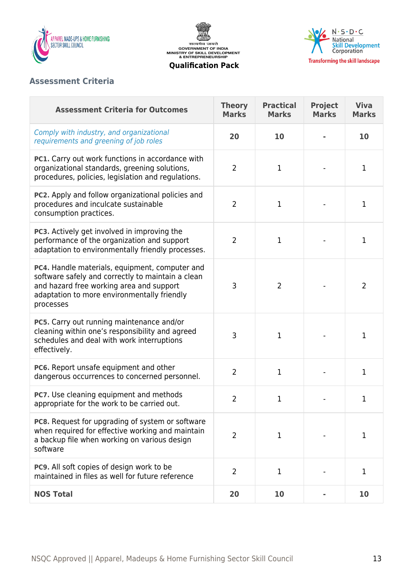

सत्यमेव जयते<br>GOVERNMENT OF INDIA<br>MINISTRY OF SKILL DEVELOPMENT<br>& ENTREPRENEURSHIP **Qualification Pack**



# **Assessment Criteria**

| <b>Assessment Criteria for Outcomes</b>                                                                                                                                                                     | <b>Theory</b><br><b>Marks</b> | <b>Practical</b><br><b>Marks</b> | <b>Project</b><br><b>Marks</b> | <b>Viva</b><br><b>Marks</b> |
|-------------------------------------------------------------------------------------------------------------------------------------------------------------------------------------------------------------|-------------------------------|----------------------------------|--------------------------------|-----------------------------|
| Comply with industry, and organizational<br>requirements and greening of job roles                                                                                                                          | 20                            | 10                               |                                | 10                          |
| PC1. Carry out work functions in accordance with<br>organizational standards, greening solutions,<br>procedures, policies, legislation and regulations.                                                     | $\overline{2}$                | $\mathbf 1$                      |                                | 1                           |
| PC2. Apply and follow organizational policies and<br>procedures and inculcate sustainable<br>consumption practices.                                                                                         | $\overline{2}$                | $\mathbf{1}$                     |                                | $\mathbf{1}$                |
| PC3. Actively get involved in improving the<br>performance of the organization and support<br>adaptation to environmentally friendly processes.                                                             | $\overline{2}$                | $\mathbf{1}$                     |                                | 1                           |
| PC4. Handle materials, equipment, computer and<br>software safely and correctly to maintain a clean<br>and hazard free working area and support<br>adaptation to more environmentally friendly<br>processes | 3                             | $\overline{2}$                   |                                | 2                           |
| PC5. Carry out running maintenance and/or<br>cleaning within one's responsibility and agreed<br>schedules and deal with work interruptions<br>effectively.                                                  | 3                             | 1                                |                                | 1                           |
| PC6. Report unsafe equipment and other<br>dangerous occurrences to concerned personnel.                                                                                                                     | $\overline{2}$                | $\mathbf{1}$                     |                                | 1                           |
| <b>PC7.</b> Use cleaning equipment and methods<br>appropriate for the work to be carried out.                                                                                                               | $\overline{2}$                | $\mathbf{1}$                     |                                | 1                           |
| <b>PC8.</b> Request for upgrading of system or software<br>when required for effective working and maintain<br>a backup file when working on various design<br>software                                     | $\overline{2}$                | 1                                |                                | 1                           |
| PC9. All soft copies of design work to be<br>maintained in files as well for future reference                                                                                                               | $\overline{2}$                | $\mathbf{1}$                     |                                | 1                           |
| <b>NOS Total</b>                                                                                                                                                                                            | 20                            | 10                               |                                | 10                          |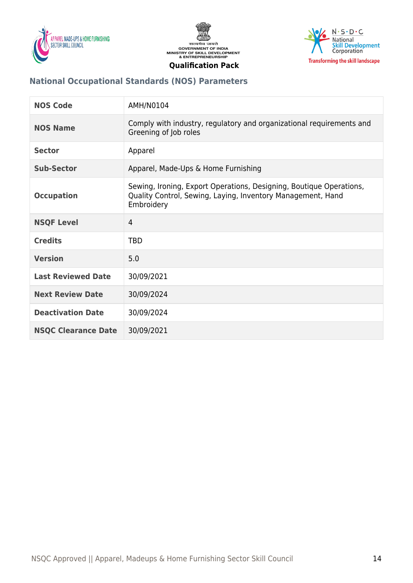





# **National Occupational Standards (NOS) Parameters**

| <b>NOS Code</b>            | AMH/N0104                                                                                                                                        |
|----------------------------|--------------------------------------------------------------------------------------------------------------------------------------------------|
| <b>NOS Name</b>            | Comply with industry, regulatory and organizational requirements and<br>Greening of Job roles                                                    |
| <b>Sector</b>              | Apparel                                                                                                                                          |
| <b>Sub-Sector</b>          | Apparel, Made-Ups & Home Furnishing                                                                                                              |
| <b>Occupation</b>          | Sewing, Ironing, Export Operations, Designing, Boutique Operations,<br>Quality Control, Sewing, Laying, Inventory Management, Hand<br>Embroidery |
| <b>NSQF Level</b>          | $\overline{4}$                                                                                                                                   |
| <b>Credits</b>             | <b>TBD</b>                                                                                                                                       |
| <b>Version</b>             | 5.0                                                                                                                                              |
| <b>Last Reviewed Date</b>  | 30/09/2021                                                                                                                                       |
| <b>Next Review Date</b>    | 30/09/2024                                                                                                                                       |
| <b>Deactivation Date</b>   | 30/09/2024                                                                                                                                       |
| <b>NSQC Clearance Date</b> | 30/09/2021                                                                                                                                       |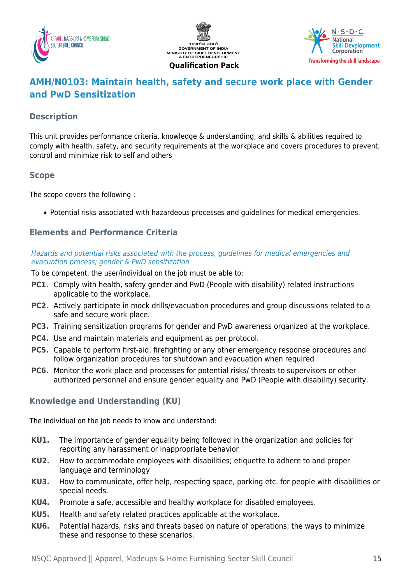





# <span id="page-14-0"></span>**AMH/N0103: Maintain health, safety and secure work place with Gender and PwD Sensitization**

# **Description**

This unit provides performance criteria, knowledge & understanding, and skills & abilities required to comply with health, safety, and security requirements at the workplace and covers procedures to prevent, control and minimize risk to self and others

## **Scope**

The scope covers the following :

Potential risks associated with hazardeous processes and guidelines for medical emergencies.

# **Elements and Performance Criteria**

#### Hazards and potential risks associated with the process, guidelines for medical emergencies and evacuation process; gender & PwD sensitization

To be competent, the user/individual on the job must be able to:

- **PC1.** Comply with health, safety gender and PwD (People with disability) related instructions applicable to the workplace.
- **PC2.** Actively participate in mock drills/evacuation procedures and group discussions related to a safe and secure work place.
- **PC3.** Training sensitization programs for gender and PwD awareness organized at the workplace.
- **PC4.** Use and maintain materials and equipment as per protocol.
- **PC5.** Capable to perform first-aid, firefighting or any other emergency response procedures and follow organization procedures for shutdown and evacuation when required
- **PC6.** Monitor the work place and processes for potential risks/ threats to supervisors or other authorized personnel and ensure gender equality and PwD (People with disability) security.

# **Knowledge and Understanding (KU)**

The individual on the job needs to know and understand:

- **KU1.** The importance of gender equality being followed in the organization and policies for reporting any harassment or inappropriate behavior
- **KU2.** How to accommodate employees with disabilities; etiquette to adhere to and proper language and terminology
- **KU3.** How to communicate, offer help, respecting space, parking etc. for people with disabilities or special needs.
- **KU4.** Promote a safe, accessible and healthy workplace for disabled employees.
- **KU5.** Health and safety related practices applicable at the workplace.
- **KU6.** Potential hazards, risks and threats based on nature of operations; the ways to minimize these and response to these scenarios.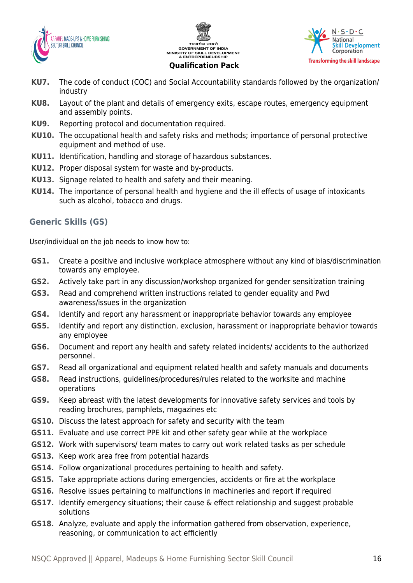





- **KU7.** The code of conduct (COC) and Social Accountability standards followed by the organization/ industry
- **KU8.** Layout of the plant and details of emergency exits, escape routes, emergency equipment and assembly points.
- **KU9.** Reporting protocol and documentation required.
- **KU10.** The occupational health and safety risks and methods; importance of personal protective equipment and method of use.
- **KU11.** Identification, handling and storage of hazardous substances.
- **KU12.** Proper disposal system for waste and by-products.
- **KU13.** Signage related to health and safety and their meaning.
- **KU14.** The importance of personal health and hygiene and the ill effects of usage of intoxicants such as alcohol, tobacco and drugs.

# **Generic Skills (GS)**

User/individual on the job needs to know how to:

- **GS1.** Create a positive and inclusive workplace atmosphere without any kind of bias/discrimination towards any employee.
- **GS2.** Actively take part in any discussion/workshop organized for gender sensitization training
- **GS3.** Read and comprehend written instructions related to gender equality and Pwd awareness/issues in the organization
- **GS4.** Identify and report any harassment or inappropriate behavior towards any employee
- **GS5.** Identify and report any distinction, exclusion, harassment or inappropriate behavior towards any employee
- **GS6.** Document and report any health and safety related incidents/ accidents to the authorized personnel.
- **GS7.** Read all organizational and equipment related health and safety manuals and documents
- **GS8.** Read instructions, guidelines/procedures/rules related to the worksite and machine operations
- **GS9.** Keep abreast with the latest developments for innovative safety services and tools by reading brochures, pamphlets, magazines etc
- **GS10.** Discuss the latest approach for safety and security with the team
- **GS11.** Evaluate and use correct PPE kit and other safety gear while at the workplace
- **GS12.** Work with supervisors/ team mates to carry out work related tasks as per schedule
- **GS13.** Keep work area free from potential hazards
- **GS14.** Follow organizational procedures pertaining to health and safety.
- **GS15.** Take appropriate actions during emergencies, accidents or fire at the workplace
- **GS16.** Resolve issues pertaining to malfunctions in machineries and report if required
- **GS17.** Identify emergency situations; their cause & effect relationship and suggest probable solutions
- **GS18.** Analyze, evaluate and apply the information gathered from observation, experience, reasoning, or communication to act efficiently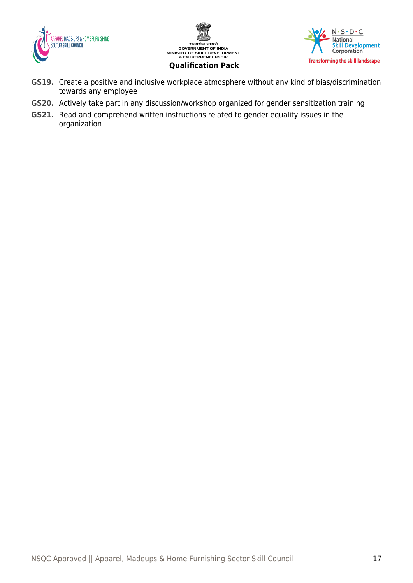





- **GS19.** Create a positive and inclusive workplace atmosphere without any kind of bias/discrimination towards any employee
- **GS20.** Actively take part in any discussion/workshop organized for gender sensitization training
- **GS21.** Read and comprehend written instructions related to gender equality issues in the organization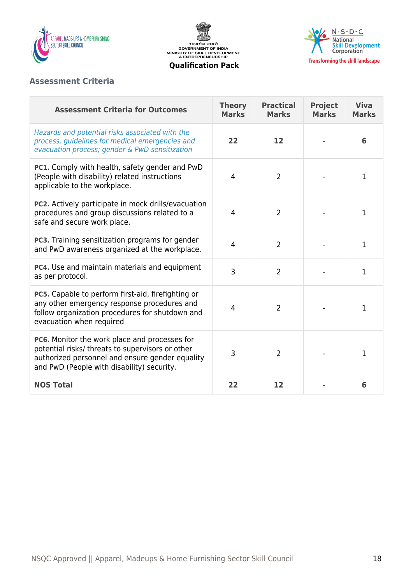

सत्यमेव जयते<br>GOVERNMENT OF INDIA<br>MINISTRY OF SKILL DEVELOPMENT<br>& ENTREPRENEURSHIP



**Qualification Pack**

# **Assessment Criteria**

| <b>Assessment Criteria for Outcomes</b>                                                                                                                                                            | <b>Theory</b><br><b>Marks</b> | <b>Practical</b><br><b>Marks</b> | <b>Project</b><br><b>Marks</b> | <b>Viva</b><br><b>Marks</b> |
|----------------------------------------------------------------------------------------------------------------------------------------------------------------------------------------------------|-------------------------------|----------------------------------|--------------------------------|-----------------------------|
| Hazards and potential risks associated with the<br>process, guidelines for medical emergencies and<br>evacuation process; gender & PwD sensitization                                               | 22                            | 12                               |                                | 6                           |
| PC1. Comply with health, safety gender and PwD<br>(People with disability) related instructions<br>applicable to the workplace.                                                                    | 4                             | $\overline{2}$                   |                                | 1                           |
| PC2. Actively participate in mock drills/evacuation<br>procedures and group discussions related to a<br>safe and secure work place.                                                                | 4                             | $\overline{2}$                   |                                | 1                           |
| PC3. Training sensitization programs for gender<br>and PwD awareness organized at the workplace.                                                                                                   | $\overline{4}$                | $\overline{2}$                   |                                | $\mathbf{1}$                |
| PC4. Use and maintain materials and equipment<br>as per protocol.                                                                                                                                  | 3                             | $\overline{2}$                   |                                | 1                           |
| PC5. Capable to perform first-aid, firefighting or<br>any other emergency response procedures and<br>follow organization procedures for shutdown and<br>evacuation when required                   | 4                             | $\overline{2}$                   |                                | 1                           |
| PC6. Monitor the work place and processes for<br>potential risks/ threats to supervisors or other<br>authorized personnel and ensure gender equality<br>and PwD (People with disability) security. | 3                             | $\overline{2}$                   |                                | 1                           |
| <b>NOS Total</b>                                                                                                                                                                                   | 22                            | 12                               |                                | 6                           |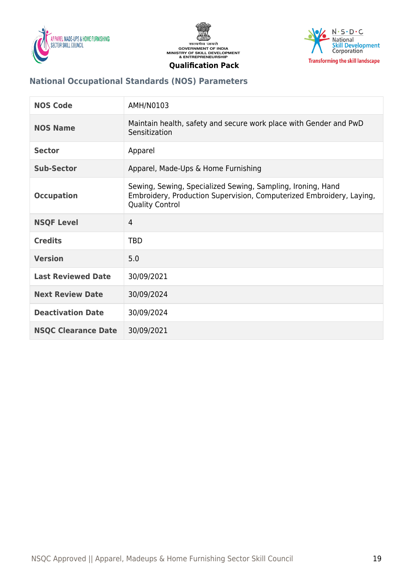





# **National Occupational Standards (NOS) Parameters**

| <b>NOS Code</b>            | AMH/N0103                                                                                                                                                     |
|----------------------------|---------------------------------------------------------------------------------------------------------------------------------------------------------------|
| <b>NOS Name</b>            | Maintain health, safety and secure work place with Gender and PwD<br>Sensitization                                                                            |
| <b>Sector</b>              | Apparel                                                                                                                                                       |
| <b>Sub-Sector</b>          | Apparel, Made-Ups & Home Furnishing                                                                                                                           |
| <b>Occupation</b>          | Sewing, Sewing, Specialized Sewing, Sampling, Ironing, Hand<br>Embroidery, Production Supervision, Computerized Embroidery, Laying,<br><b>Quality Control</b> |
| <b>NSQF Level</b>          | 4                                                                                                                                                             |
| <b>Credits</b>             | <b>TBD</b>                                                                                                                                                    |
| <b>Version</b>             | 5.0                                                                                                                                                           |
| <b>Last Reviewed Date</b>  | 30/09/2021                                                                                                                                                    |
| <b>Next Review Date</b>    | 30/09/2024                                                                                                                                                    |
| <b>Deactivation Date</b>   | 30/09/2024                                                                                                                                                    |
| <b>NSQC Clearance Date</b> | 30/09/2021                                                                                                                                                    |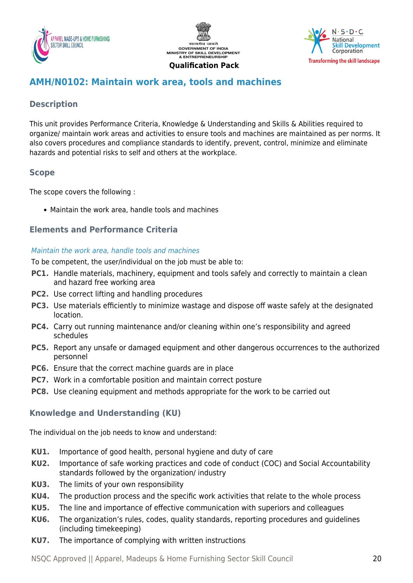





# <span id="page-19-0"></span>**AMH/N0102: Maintain work area, tools and machines**

# **Description**

This unit provides Performance Criteria, Knowledge & Understanding and Skills & Abilities required to organize/ maintain work areas and activities to ensure tools and machines are maintained as per norms. It also covers procedures and compliance standards to identify, prevent, control, minimize and eliminate hazards and potential risks to self and others at the workplace.

# **Scope**

The scope covers the following :

Maintain the work area, handle tools and machines

# **Elements and Performance Criteria**

#### Maintain the work area, handle tools and machines

To be competent, the user/individual on the job must be able to:

- **PC1.** Handle materials, machinery, equipment and tools safely and correctly to maintain a clean and hazard free working area
- **PC2.** Use correct lifting and handling procedures
- **PC3.** Use materials efficiently to minimize wastage and dispose off waste safely at the designated location.
- **PC4.** Carry out running maintenance and/or cleaning within one's responsibility and agreed schedules
- **PC5.** Report any unsafe or damaged equipment and other dangerous occurrences to the authorized personnel
- **PC6.** Ensure that the correct machine guards are in place
- **PC7.** Work in a comfortable position and maintain correct posture
- **PC8.** Use cleaning equipment and methods appropriate for the work to be carried out

## **Knowledge and Understanding (KU)**

The individual on the job needs to know and understand:

- **KU1.** Importance of good health, personal hygiene and duty of care
- **KU2.** Importance of safe working practices and code of conduct (COC) and Social Accountability standards followed by the organization/ industry
- **KU3.** The limits of your own responsibility
- **KU4.** The production process and the specific work activities that relate to the whole process
- **KU5.** The line and importance of effective communication with superiors and colleagues
- **KU6.** The organization's rules, codes, quality standards, reporting procedures and guidelines (including timekeeping)
- **KU7.** The importance of complying with written instructions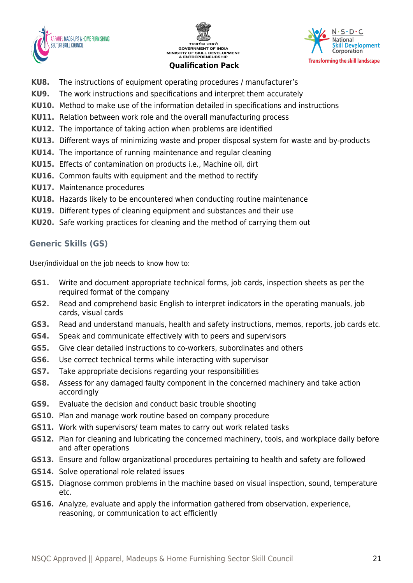





- **KU8.** The instructions of equipment operating procedures / manufacturer's
- **KU9.** The work instructions and specifications and interpret them accurately
- **KU10.** Method to make use of the information detailed in specifications and instructions
- **KU11.** Relation between work role and the overall manufacturing process
- **KU12.** The importance of taking action when problems are identified
- **KU13.** Different ways of minimizing waste and proper disposal system for waste and by-products
- **KU14.** The importance of running maintenance and regular cleaning
- **KU15.** Effects of contamination on products i.e., Machine oil, dirt
- **KU16.** Common faults with equipment and the method to rectify
- **KU17.** Maintenance procedures
- **KU18.** Hazards likely to be encountered when conducting routine maintenance
- **KU19.** Different types of cleaning equipment and substances and their use
- **KU20.** Safe working practices for cleaning and the method of carrying them out

# **Generic Skills (GS)**

User/individual on the job needs to know how to:

- **GS1.** Write and document appropriate technical forms, job cards, inspection sheets as per the required format of the company
- **GS2.** Read and comprehend basic English to interpret indicators in the operating manuals, job cards, visual cards
- **GS3.** Read and understand manuals, health and safety instructions, memos, reports, job cards etc.
- **GS4.** Speak and communicate effectively with to peers and supervisors
- **GS5.** Give clear detailed instructions to co-workers, subordinates and others
- **GS6.** Use correct technical terms while interacting with supervisor
- **GS7.** Take appropriate decisions regarding your responsibilities
- **GS8.** Assess for any damaged faulty component in the concerned machinery and take action accordingly
- **GS9.** Evaluate the decision and conduct basic trouble shooting
- **GS10.** Plan and manage work routine based on company procedure
- **GS11.** Work with supervisors/ team mates to carry out work related tasks
- **GS12.** Plan for cleaning and lubricating the concerned machinery, tools, and workplace daily before and after operations
- **GS13.** Ensure and follow organizational procedures pertaining to health and safety are followed
- **GS14.** Solve operational role related issues
- **GS15.** Diagnose common problems in the machine based on visual inspection, sound, temperature etc.
- **GS16.** Analyze, evaluate and apply the information gathered from observation, experience, reasoning, or communication to act efficiently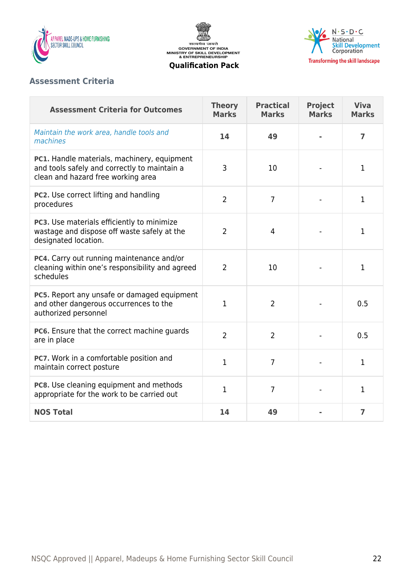

सत्यमेव जयते<br>GOVERNMENT OF INDIA<br>MINISTRY OF SKILL DEVELOPMENT<br>& ENTREPRENEURSHIP



#### **Qualification Pack**

## **Assessment Criteria**

| <b>Assessment Criteria for Outcomes</b>                                                                                           | <b>Theory</b><br><b>Marks</b> | <b>Practical</b><br><b>Marks</b> | <b>Project</b><br><b>Marks</b> | <b>Viva</b><br><b>Marks</b> |
|-----------------------------------------------------------------------------------------------------------------------------------|-------------------------------|----------------------------------|--------------------------------|-----------------------------|
| Maintain the work area, handle tools and<br>machines                                                                              | 14                            | 49                               |                                | 7                           |
| PC1. Handle materials, machinery, equipment<br>and tools safely and correctly to maintain a<br>clean and hazard free working area | 3                             | 10                               |                                | 1                           |
| PC2. Use correct lifting and handling<br>procedures                                                                               | $\overline{2}$                | $\overline{7}$                   |                                | 1                           |
| PC3. Use materials efficiently to minimize<br>wastage and dispose off waste safely at the<br>designated location.                 | $\overline{2}$                | $\overline{4}$                   |                                | $\mathbf 1$                 |
| PC4. Carry out running maintenance and/or<br>cleaning within one's responsibility and agreed<br>schedules                         | $\overline{2}$                | 10                               |                                | $\mathbf 1$                 |
| PC5. Report any unsafe or damaged equipment<br>and other dangerous occurrences to the<br>authorized personnel                     | 1                             | $\overline{2}$                   |                                | 0.5                         |
| PC6. Ensure that the correct machine guards<br>are in place                                                                       | $\overline{2}$                | $\overline{2}$                   |                                | 0.5                         |
| PC7. Work in a comfortable position and<br>maintain correct posture                                                               | $\mathbf{1}$                  | $\overline{7}$                   |                                | 1                           |
| PC8. Use cleaning equipment and methods<br>appropriate for the work to be carried out                                             | 1                             | $\overline{7}$                   |                                | 1                           |
| <b>NOS Total</b>                                                                                                                  | 14                            | 49                               |                                | $\overline{7}$              |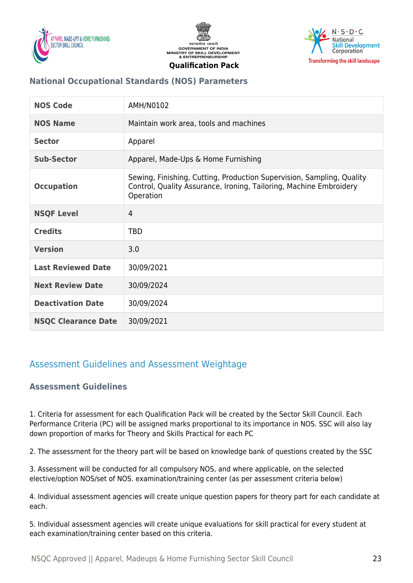





# **National Occupational Standards (NOS) Parameters**

| <b>NOS Code</b>            | AMH/N0102                                                                                                                                                |
|----------------------------|----------------------------------------------------------------------------------------------------------------------------------------------------------|
| <b>NOS Name</b>            | Maintain work area, tools and machines                                                                                                                   |
| <b>Sector</b>              | Apparel                                                                                                                                                  |
| <b>Sub-Sector</b>          | Apparel, Made-Ups & Home Furnishing                                                                                                                      |
| <b>Occupation</b>          | Sewing, Finishing, Cutting, Production Supervision, Sampling, Quality<br>Control, Quality Assurance, Ironing, Tailoring, Machine Embroidery<br>Operation |
| <b>NSQF Level</b>          | $\overline{4}$                                                                                                                                           |
| <b>Credits</b>             | <b>TBD</b>                                                                                                                                               |
| <b>Version</b>             | 3.0                                                                                                                                                      |
| <b>Last Reviewed Date</b>  | 30/09/2021                                                                                                                                               |
| <b>Next Review Date</b>    | 30/09/2024                                                                                                                                               |
| <b>Deactivation Date</b>   | 30/09/2024                                                                                                                                               |
| <b>NSQC Clearance Date</b> | 30/09/2021                                                                                                                                               |

# <span id="page-22-1"></span><span id="page-22-0"></span>Assessment Guidelines and Assessment Weightage

## **Assessment Guidelines**

1. Criteria for assessment for each Qualification Pack will be created by the Sector Skill Council. Each Performance Criteria (PC) will be assigned marks proportional to its importance in NOS. SSC will also lay down proportion of marks for Theory and Skills Practical for each PC

2. The assessment for the theory part will be based on knowledge bank of questions created by the SSC

3. Assessment will be conducted for all compulsory NOS, and where applicable, on the selected elective/option NOS/set of NOS. examination/training center (as per assessment criteria below)

4. Individual assessment agencies will create unique question papers for theory part for each candidate at each.

5. Individual assessment agencies will create unique evaluations for skill practical for every student at each examination/training center based on this criteria.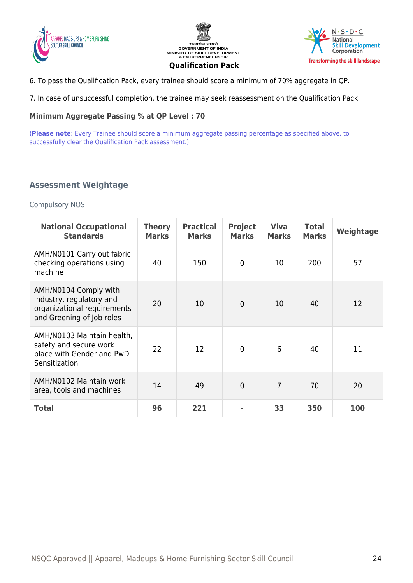





6. To pass the Qualification Pack, every trainee should score a minimum of 70% aggregate in QP.

7. In case of unsuccessful completion, the trainee may seek reassessment on the Qualification Pack.

#### **Minimum Aggregate Passing % at QP Level : 70**

(**Please note**: Every Trainee should score a minimum aggregate passing percentage as specified above, to successfully clear the Qualification Pack assessment.)

#### <span id="page-23-0"></span>**Assessment Weightage**

Compulsory NOS

| <b>National Occupational</b><br><b>Standards</b>                                                              | <b>Theory</b><br><b>Marks</b> | <b>Practical</b><br><b>Marks</b> | <b>Project</b><br><b>Marks</b> | <b>Viva</b><br><b>Marks</b> | <b>Total</b><br><b>Marks</b> | Weightage |
|---------------------------------------------------------------------------------------------------------------|-------------------------------|----------------------------------|--------------------------------|-----------------------------|------------------------------|-----------|
| AMH/N0101.Carry out fabric<br>checking operations using<br>machine                                            | 40                            | 150                              | $\mathbf{0}$                   | 10                          | 200                          | 57        |
| AMH/N0104.Comply with<br>industry, regulatory and<br>organizational requirements<br>and Greening of Job roles | 20                            | 10                               | $\mathbf{0}$                   | 10                          | 40                           | 12        |
| AMH/N0103. Maintain health,<br>safety and secure work<br>place with Gender and PwD<br>Sensitization           | 22                            | 12                               | $\mathbf{0}$                   | 6                           | 40                           | 11        |
| AMH/N0102. Maintain work<br>area, tools and machines                                                          | 14                            | 49                               | $\overline{0}$                 | $\overline{7}$              | 70                           | 20        |
| <b>Total</b>                                                                                                  | 96                            | 221                              |                                | 33                          | 350                          | 100       |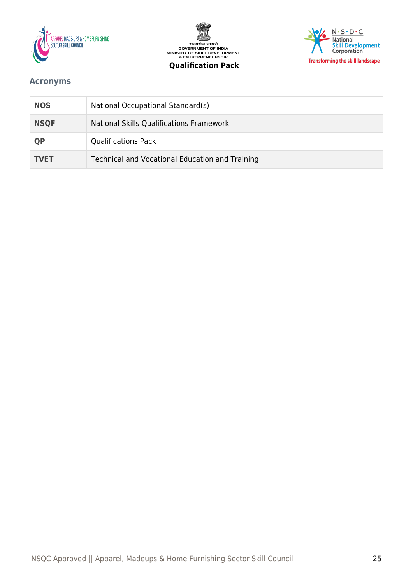







# <span id="page-24-0"></span>**Acronyms**

| <b>NOS</b>  | National Occupational Standard(s)               |
|-------------|-------------------------------------------------|
| <b>NSQF</b> | National Skills Qualifications Framework        |
| QP          | <b>Qualifications Pack</b>                      |
| <b>TVET</b> | Technical and Vocational Education and Training |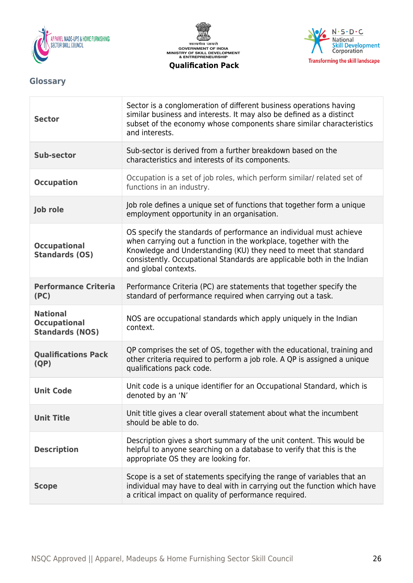





# <span id="page-25-0"></span>**Glossary**

| <b>Sector</b>                                                    | Sector is a conglomeration of different business operations having<br>similar business and interests. It may also be defined as a distinct<br>subset of the economy whose components share similar characteristics<br>and interests.                                                                         |
|------------------------------------------------------------------|--------------------------------------------------------------------------------------------------------------------------------------------------------------------------------------------------------------------------------------------------------------------------------------------------------------|
| Sub-sector                                                       | Sub-sector is derived from a further breakdown based on the<br>characteristics and interests of its components.                                                                                                                                                                                              |
| <b>Occupation</b>                                                | Occupation is a set of job roles, which perform similar/ related set of<br>functions in an industry.                                                                                                                                                                                                         |
| Job role                                                         | Job role defines a unique set of functions that together form a unique<br>employment opportunity in an organisation.                                                                                                                                                                                         |
| <b>Occupational</b><br><b>Standards (OS)</b>                     | OS specify the standards of performance an individual must achieve<br>when carrying out a function in the workplace, together with the<br>Knowledge and Understanding (KU) they need to meet that standard<br>consistently. Occupational Standards are applicable both in the Indian<br>and global contexts. |
| <b>Performance Criteria</b><br>(PC)                              | Performance Criteria (PC) are statements that together specify the<br>standard of performance required when carrying out a task.                                                                                                                                                                             |
| <b>National</b><br><b>Occupational</b><br><b>Standards (NOS)</b> | NOS are occupational standards which apply uniquely in the Indian<br>context.                                                                                                                                                                                                                                |
| <b>Qualifications Pack</b><br>(QP)                               | QP comprises the set of OS, together with the educational, training and<br>other criteria required to perform a job role. A QP is assigned a unique<br>qualifications pack code.                                                                                                                             |
| <b>Unit Code</b>                                                 | Unit code is a unique identifier for an Occupational Standard, which is<br>denoted by an 'N'                                                                                                                                                                                                                 |
| <b>Unit Title</b>                                                | Unit title gives a clear overall statement about what the incumbent<br>should be able to do.                                                                                                                                                                                                                 |
| <b>Description</b>                                               | Description gives a short summary of the unit content. This would be<br>helpful to anyone searching on a database to verify that this is the<br>appropriate OS they are looking for.                                                                                                                         |
| <b>Scope</b>                                                     | Scope is a set of statements specifying the range of variables that an<br>individual may have to deal with in carrying out the function which have<br>a critical impact on quality of performance required.                                                                                                  |